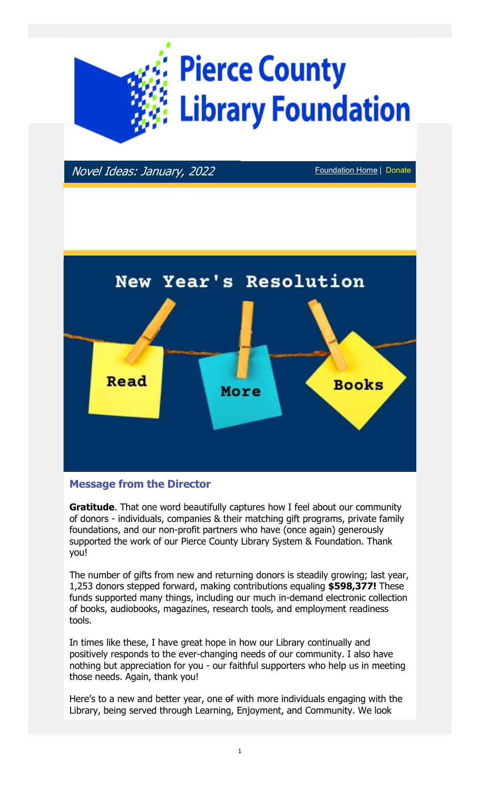

Novel Ideas: January, 2022 Foundation Home | Donate



# Message from the Director

**Gratitude.** That one word beautifully captures how I feel about our community of donors - individuals, companies & their matching gift programs, private family foundations, and our non-profit partners who have (once again) generously supported the work of our Pierce County Library System & Foundation. Thank you!

The number of gifts from new and returning donors is steadily growing; last year, 1,253 donors stepped forward, making contributions equaling \$598,377! These funds supported many things, including our much in-demand electronic collection of books, audiobooks, magazines, research tools, and employment readiness tools.

In times like these, I have great hope in how our Library continually and positively responds to the ever-changing needs of our community. I also have nothing but appreciation for you - our faithful supporters who help us in meeting those needs. Again, thank you!

Here's to a new and better year, one of with more individuals engaging with the Library, being served through Learning, Enjoyment, and Community. We look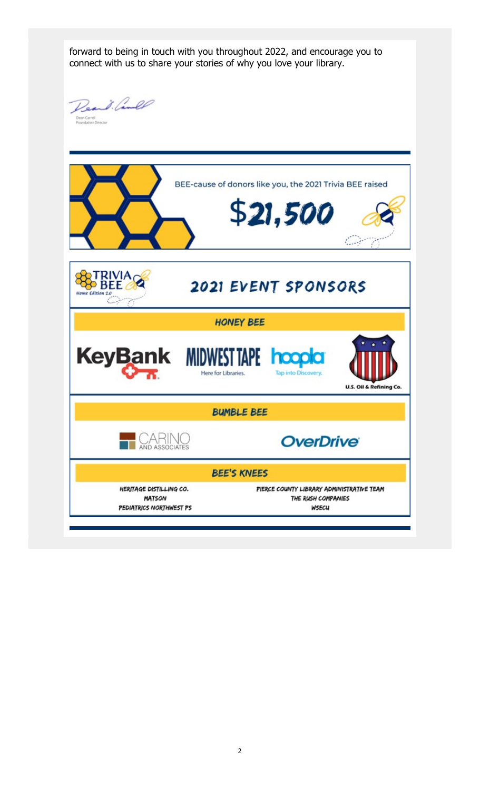forward to being in touch with you throughout 2022, and encourage you to connect with us to share your stories of why you love your library.

Read lande Dean Carrell<br>Foundation Director

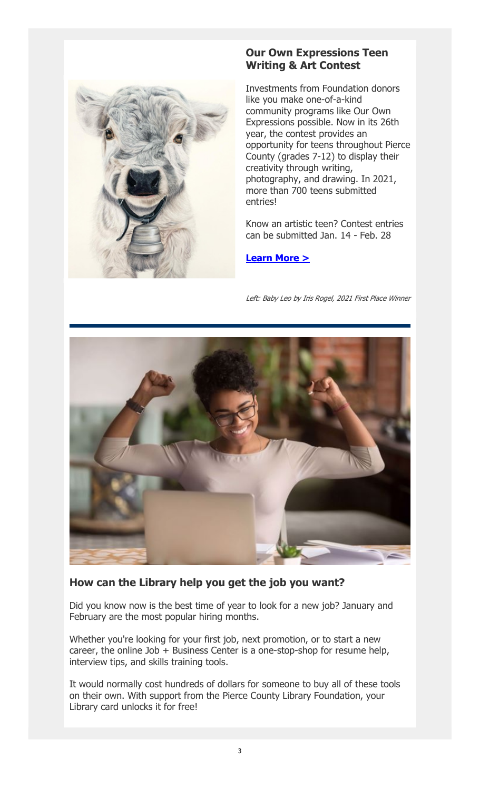

# Our Own Expressions Teen Writing & Art Contest

Investments from Foundation donors like you make one-of-a-kind community programs like Our Own Expressions possible. Now in its 26th year, the contest provides an opportunity for teens throughout Pierce County (grades 7-12) to display their creativity through writing, photography, and drawing. In 2021, more than 700 teens submitted entries!

Know an artistic teen? Contest entries can be submitted Jan. 14 - Feb. 28

### Learn More >

Left: Baby Leo by Iris Rogel, 2021 First Place Winner



# How can the Library help you get the job you want?

Did you know now is the best time of year to look for a new job? January and February are the most popular hiring months.

Whether you're looking for your first job, next promotion, or to start a new career, the online Job + Business Center is a one-stop-shop for resume help, interview tips, and skills training tools.

It would normally cost hundreds of dollars for someone to buy all of these tools on their own. With support from the Pierce County Library Foundation, your Library card unlocks it for free!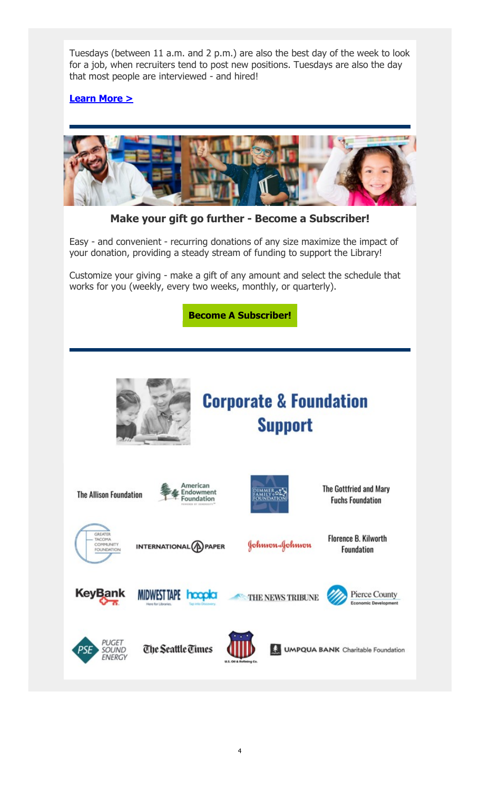Tuesdays (between 11 a.m. and 2 p.m.) are also the best day of the week to look for a job, when recruiters tend to post new positions. Tuesdays are also the day that most people are interviewed - and hired!

# Learn More >



Make your gift go further - Become a Subscriber!

Easy - and convenient - recurring donations of any size maximize the impact of your donation, providing a steady stream of funding to support the Library!

Customize your giving - make a gift of any amount and select the schedule that works for you (weekly, every two weeks, monthly, or quarterly).

Become A Subscriber!